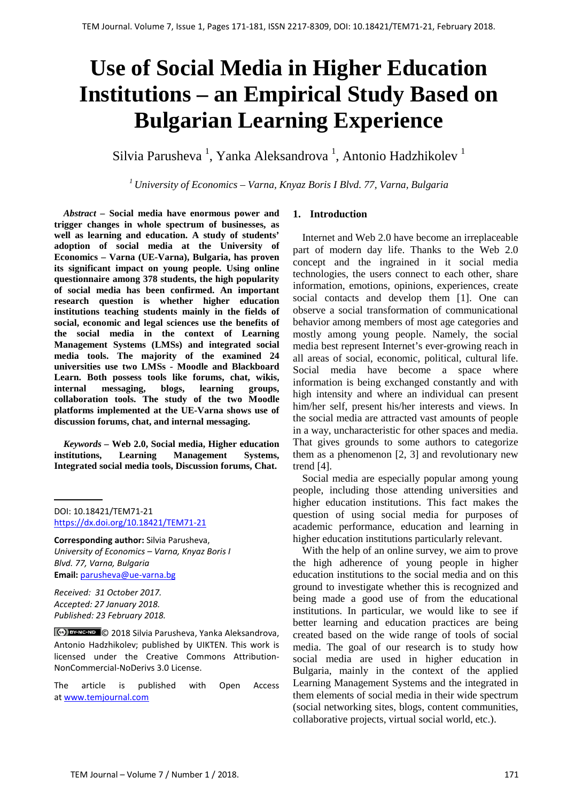# **Use of Social Media in Higher Education Institutions – an Empirical Study Based on Bulgarian Learning Experience**

Silvia Parusheva<sup>1</sup>, Yanka Aleksandrova<sup>1</sup>, Antonio Hadzhikolev<sup>1</sup>

*1 University of Economics – Varna, Knyaz Boris I Blvd. 77, Varna, Bulgaria*

*Abstract –* **Social media have enormous power and trigger changes in whole spectrum of businesses, as well as learning and education. A study of students' adoption of social media at the University of Economics – Varna (UE-Varna), Bulgaria, has proven its significant impact on young people. Using online questionnaire among 378 students, the high popularity of social media has been confirmed. An important research question is whether higher education institutions teaching students mainly in the fields of social, economic and legal sciences use the benefits of the social media in the context of Learning Management Systems (LMSs) and integrated social media tools. The majority of the examined 24 universities use two LMSs - Moodle and Blackboard Learn. Both possess tools like forums, chat, wikis, internal messaging, blogs, learning groups, collaboration tools. The study of the two Moodle platforms implemented at the UE-Varna shows use of discussion forums, chat, and internal messaging.**

*Keywords –* **Web 2.0, Social media, Higher education institutions, Learning Management Systems, Integrated social media tools, Discussion forums, Chat.**

DOI: 10.18421/TEM71-21 <https://dx.doi.org/10.18421/TEM71-21>

**Corresponding author:** Silvia Parusheva, *University of Economics – Varna, Knyaz Boris I Blvd. 77, Varna, Bulgaria* **Email:** parusheva@ue-varna.bg

*Received: 31 October 2017. Accepted: 27 January 2018. Published: 23 February 2018.*

© 2018 Silvia Parusheva, Yanka Aleksandrova, Antonio Hadzhikolev; published by UIKTEN. This work is licensed under the Creative Commons Attribution-NonCommercial-NoDerivs 3.0 License.

The article is published with Open Access a[t www.temjournal.com](http://www.temjournal.com/)

# **1. Introduction**

Internet and Web 2.0 have become an irreplaceable part of modern day life. Thanks to the Web 2.0 concept and the ingrained in it social media technologies, the users connect to each other, share information, emotions, opinions, experiences, create social contacts and develop them [1]. One can observe a social transformation of communicational behavior among members of most age categories and mostly among young people. Namely, the social media best represent Internet's ever-growing reach in all areas of social, economic, political, cultural life. Social media have become a space where information is being exchanged constantly and with high intensity and where an individual can present him/her self, present his/her interests and views. In the social media are attracted vast amounts of people in a way, uncharacteristic for other spaces and media. That gives grounds to some authors to categorize them as a phenomenon [2, 3] and revolutionary new trend [4].

Social media are especially popular among young people, including those attending universities and higher education institutions. This fact makes the question of using social media for purposes of academic performance, education and learning in higher education institutions particularly relevant.

With the help of an online survey, we aim to prove the high adherence of young people in higher education institutions to the social media and on this ground to investigate whether this is recognized and being made a good use of from the educational institutions. In particular, we would like to see if better learning and education practices are being created based on the wide range of tools of social media. The goal of our research is to study how social media are used in higher education in Bulgaria, mainly in the context of the applied Learning Management Systems and the integrated in them elements of social media in their wide spectrum (social networking sites, blogs, content communities, collaborative projects, virtual social world, etc.).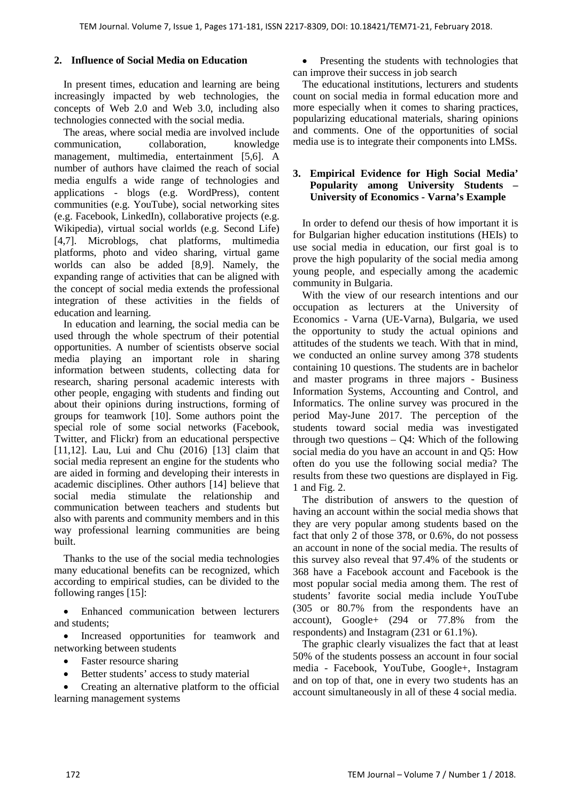# **2. Influence of Social Media on Education**

In present times, education and learning are being increasingly impacted by web technologies, the concepts of Web 2.0 and Web 3.0, including also technologies connected with the social media.

The areas, where social media are involved include communication, collaboration, knowledge management, multimedia, entertainment [5,6]. A number of authors have claimed the reach of social media engulfs a wide range of technologies and applications - blogs (e.g. WordPress), content communities (e.g. YouTube), social networking sites (e.g. Facebook, LinkedIn), collaborative projects (e.g. Wikipedia), virtual social worlds (e.g. Second Life) [4,7]. Microblogs, chat platforms, multimedia platforms, photo and video sharing, virtual game worlds can also be added [8,9]. Namely, the expanding range of activities that can be aligned with the concept of social media extends the professional integration of these activities in the fields of education and learning.

In education and learning, the social media can be used through the whole spectrum of their potential opportunities. A number of scientists observe social media playing an important role in sharing information between students, collecting data for research, sharing personal academic interests with other people, engaging with students and finding out about their opinions during instructions, forming of groups for teamwork [10]. Some authors point the special role of some social networks (Facebook, Twitter, and Flickr) from an educational perspective [11,12]. Lau, Lui and Chu (2016) [13] claim that social media represent an engine for the students who are aided in forming and developing their interests in academic disciplines. Other authors [14] believe that social media stimulate the relationship and communication between teachers and students but also with parents and community members and in this way professional learning communities are being built.

Thanks to the use of the social media technologies many educational benefits can be recognized, which according to empirical studies, can be divided to the following ranges [15]:

• Enhanced communication between lecturers and students;

• Increased opportunities for teamwork and networking between students

- Faster resource sharing
- Better students' access to study material

• Creating an alternative platform to the official learning management systems

• Presenting the students with technologies that can improve their success in job search

The educational institutions, lecturers and students count on social media in formal education more and more especially when it comes to sharing practices, popularizing educational materials, sharing opinions and comments. One of the opportunities of social media use is to integrate their components into LMSs.

# **3. Empirical Evidence for High Social Media' Popularity among University Students – University of Economics - Varna's Example**

In order to defend our thesis of how important it is for Bulgarian higher education institutions (HEIs) to use social media in education, our first goal is to prove the high popularity of the social media among young people, and especially among the academic community in Bulgaria.

With the view of our research intentions and our occupation as lecturers at the University of Economics - Varna (UE-Varna), Bulgaria, we used the opportunity to study the actual opinions and attitudes of the students we teach. With that in mind, we conducted an online survey among 378 students containing 10 questions. The students are in bachelor and master programs in three majors - Business Information Systems, Accounting and Control, and Informatics. The online survey was procured in the period May-June 2017. The perception of the students toward social media was investigated through two questions  $-$  Q4: Which of the following social media do you have an account in and Q5: How often do you use the following social media? The results from these two questions are displayed in Fig. 1 and Fig. 2.

The distribution of answers to the question of having an account within the social media shows that they are very popular among students based on the fact that only 2 of those 378, or 0.6%, do not possess an account in none of the social media. The results of this survey also reveal that 97.4% of the students or 368 have a Facebook account and Facebook is the most popular social media among them. The rest of students' favorite social media include YouTube (305 or 80.7% from the respondents have an account), Google+ (294 or 77.8% from the respondents) and Instagram (231 or 61.1%).

The graphic clearly visualizes the fact that at least 50% of the students possess an account in four social media - Facebook, YouTube, Google+, Instagram and on top of that, one in every two students has an account simultaneously in all of these 4 social media.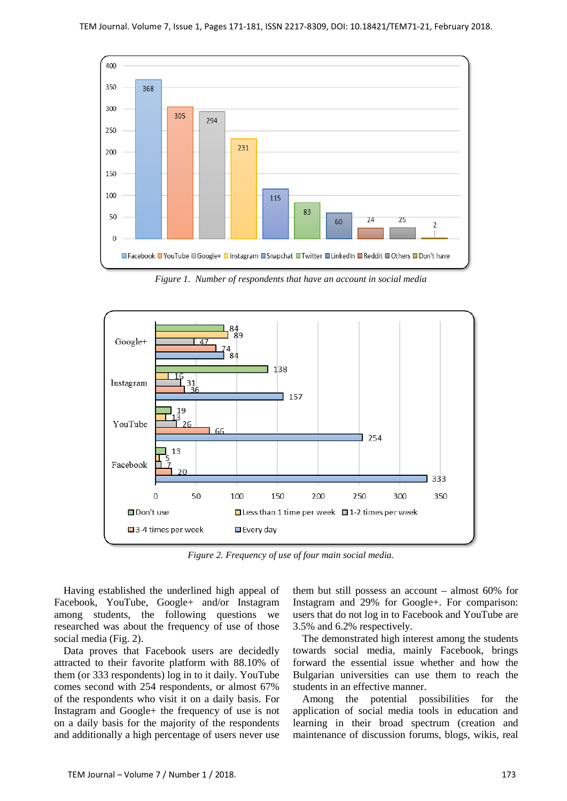

*Figure 1. Number of respondents that have an account in social media*



*Figure 2. Frequency of use of four main social media.*

Having established the underlined high appeal of Facebook, YouTube, Google+ and/or Instagram among students, the following questions we researched was about the frequency of use of those social media (Fig. 2).

Data proves that Facebook users are decidedly attracted to their favorite platform with 88.10% of them (or 333 respondents) log in to it daily. YouTube comes second with 254 respondents, or almost 67% of the respondents who visit it on a daily basis. For Instagram and Google+ the frequency of use is not on a daily basis for the majority of the respondents and additionally a high percentage of users never use them but still possess an account – almost 60% for Instagram and 29% for Google+. For comparison: users that do not log in to Facebook and YouTube are 3.5% and 6.2% respectively.

The demonstrated high interest among the students towards social media, mainly Facebook, brings forward the essential issue whether and how the Bulgarian universities can use them to reach the students in an effective manner.

Among the potential possibilities for the application of social media tools in education and learning in their broad spectrum (creation and maintenance of discussion forums, blogs, wikis, real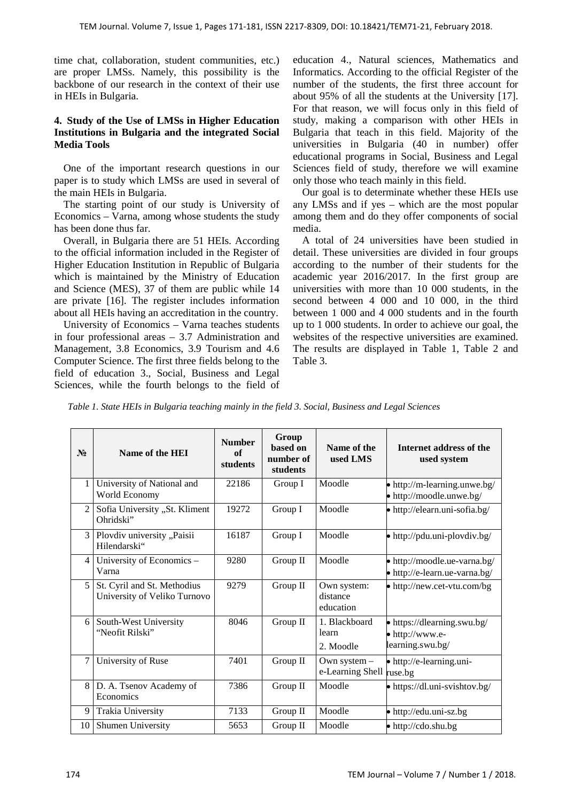time chat, collaboration, student communities, etc.) are proper LMSs. Namely, this possibility is the backbone of our research in the context of their use in HEIs in Bulgaria.

# **4. Study of the Use of LMSs in Higher Education Institutions in Bulgaria and the integrated Social Media Tools**

One of the important research questions in our paper is to study which LMSs are used in several of the main HEIs in Bulgaria.

The starting point of our study is University of Economics – Varna, among whose students the study has been done thus far.

Overall, in Bulgaria there are 51 HEIs. According to the official information included in the Register of Higher Education Institution in Republic of Bulgaria which is maintained by the Ministry of Education and Science (MES), 37 of them are public while 14 are private [16]. The register includes information about all HEIs having an accreditation in the country.

University of Economics – Varna teaches students in four professional areas – 3.7 Administration and Management, 3.8 Economics, 3.9 Tourism and 4.6 Computer Science. The first three fields belong to the field of education 3., Social, Business and Legal Sciences, while the fourth belongs to the field of education 4., Natural sciences, Mathematics and Informatics. According to the official Register of the number of the students, the first three account for about 95% of all the students at the University [17]. For that reason, we will focus only in this field of study, making a comparison with other HEIs in Bulgaria that teach in this field. Majority of the universities in Bulgaria (40 in number) offer educational programs in Social, Business and Legal Sciences field of study, therefore we will examine only those who teach mainly in this field.

Our goal is to determinate whether these HEIs use any LMSs and if yes – which are the most popular among them and do they offer components of social media.

A total of 24 universities have been studied in detail. These universities are divided in four groups according to the number of their students for the academic year 2016/2017. In the first group are universities with more than 10 000 students, in the second between 4 000 and 10 000, in the third between 1 000 and 4 000 students and in the fourth up to 1 000 students. In order to achieve our goal, the websites of the respective universities are examined. The results are displayed in Table 1, Table 2 and Table 3.

*Table 1. State HEIs in Bulgaria teaching mainly in the field 3. Social, Business and Legal Sciences*

| $N_2$          | Name of the HEI                                             | <b>Number</b><br>of<br>students | Group<br>based on<br>number of<br>students | Name of the<br>used LMS              | Internet address of the<br>used system                             |
|----------------|-------------------------------------------------------------|---------------------------------|--------------------------------------------|--------------------------------------|--------------------------------------------------------------------|
| $\mathbf{1}$   | University of National and<br>World Economy                 | 22186                           | Group I                                    | Moodle                               | • http://m-learning.unwe.bg/<br>• http://moodle.unwe.bg/           |
| $\overline{2}$ | Sofia University "St. Kliment<br>Ohridski"                  | 19272                           | Group I                                    | Moodle                               | • http://elearn.uni-sofia.bg/                                      |
| $\overline{3}$ | Plovdiv university "Paisii<br>Hilendarski"                  | 16187                           | Group I                                    | Moodle                               | • http://pdu.uni-plovdiv.bg/                                       |
| $\overline{4}$ | University of Economics -<br>Varna                          | 9280                            | Group II                                   | Moodle                               | • http://moodle.ue-varna.bg/<br>• http://e-learn.ue-varna.bg/      |
| $5^{\circ}$    | St. Cyril and St. Methodius<br>University of Veliko Turnovo | 9279                            | Group II                                   | Own system:<br>distance<br>education | $\bullet$ http://new.cet-vtu.com/bg                                |
| 6              | South-West University<br>"Neofit Rilski"                    | 8046                            | Group II                                   | 1. Blackboard<br>learn<br>2. Moodle  | • https://dlearning.swu.bg/<br>• http://www.e-<br>learning.swu.bg/ |
| 7              | University of Ruse                                          | 7401                            | Group II                                   | Own system $-$<br>e-Learning Shell   | • http://e-learning.uni-<br>ruse.bg                                |
| 8              | D. A. Tsenov Academy of<br>Economics                        | 7386                            | Group II                                   | Moodle                               | • https://dl.uni-svishtov.bg/                                      |
| 9              | Trakia University                                           | 7133                            | Group II                                   | Moodle                               | • http://edu.uni-sz.bg                                             |
| 10             | Shumen University                                           | 5653                            | Group II                                   | Moodle                               | $\bullet$ http://cdo.shu.bg                                        |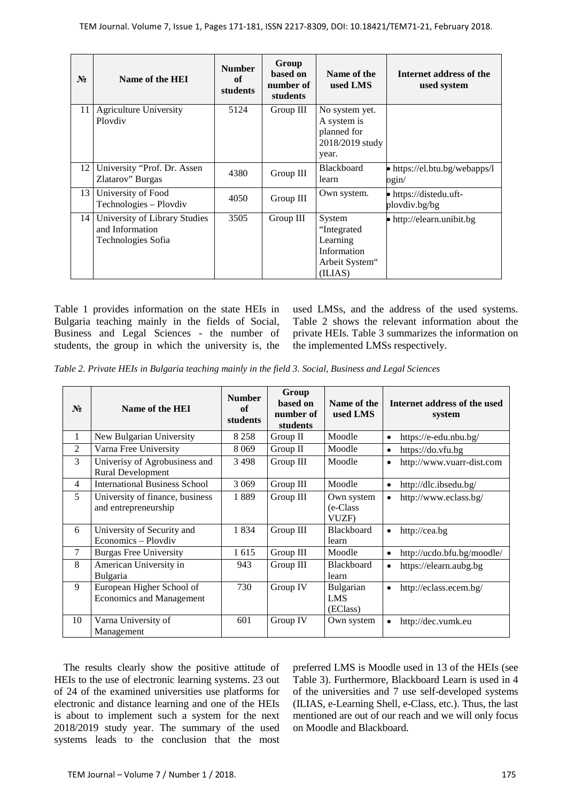| $N_2$ | Name of the HEI                                                        | <b>Number</b><br>of<br>students | Group<br>based on<br>number of<br>students | Name of the<br>used LMS                                                        | Internet address of the<br>used system         |
|-------|------------------------------------------------------------------------|---------------------------------|--------------------------------------------|--------------------------------------------------------------------------------|------------------------------------------------|
| 11    | <b>Agriculture University</b><br>Ploydiy                               | 5124                            | Group III                                  | No system yet.<br>A system is<br>planned for<br>2018/2019 study<br>year.       |                                                |
| 12    | University "Prof. Dr. Assen<br>Zlatarov" Burgas                        | 4380                            | Group III                                  | <b>Blackboard</b><br>learn                                                     | • https://el.btu.bg/webapps/l<br>$\alpha$ gin/ |
| 13    | University of Food<br>Technologies - Plovdiv                           | 4050                            | Group III                                  | Own system.                                                                    | • https://distedu.uft-<br>plovdiv.bg/bg        |
| 14    | University of Library Studies<br>and Information<br>Technologies Sofia | 3505                            | Group III                                  | System<br>"Integrated"<br>Learning<br>Information<br>Arbeit System"<br>(ILIAS) | • http://elearn.unibit.bg                      |

Table 1 provides information on the state HEIs in Bulgaria teaching mainly in the fields of Social, Business and Legal Sciences - the number of students, the group in which the university is, the used LMSs, and the address of the used systems. Table 2 shows the relevant information about the private HEIs. Table 3 summarizes the information on the implemented LMSs respectively.

*Table 2. Private HEIs in Bulgaria teaching mainly in the field 3. Social, Business and Legal Sciences* 

| $\mathbf{N_2}$ | Name of the HEI                                              | <b>Number</b><br>of<br>students | Group<br>based on<br>number of<br>students | Name of the<br>used LMS          | Internet address of the used<br>system  |
|----------------|--------------------------------------------------------------|---------------------------------|--------------------------------------------|----------------------------------|-----------------------------------------|
| 1              | New Bulgarian University                                     | 8 2 5 8                         | Group II                                   | Moodle                           | https://e-edu.nbu.bg/<br>$\bullet$      |
| $\overline{2}$ | Varna Free University                                        | 8 0 6 9                         | Group II                                   | Moodle                           | https://do.vfu.bg<br>$\bullet$          |
| 3              | Univerisy of Agrobusiness and<br>Rural Development           | 3498                            | Group III                                  | Moodle                           | http://www.vuarr-dist.com<br>$\bullet$  |
| 4              | <b>International Business School</b>                         | 3 0 6 9                         | Group III                                  | Moodle                           | http://dlc.ibsedu.bg/<br>$\bullet$      |
| 5              | University of finance, business<br>and entrepreneurship      | 1889                            | Group III                                  | Own system<br>(e-Class)<br>VUZF) | http://www.eclass.bg/<br>$\bullet$      |
| 6              | University of Security and<br>Economics - Ploydiv            | 1834                            | Group III                                  | <b>Blackboard</b><br>learn       | http://cea.bg<br>$\bullet$              |
| 7              | <b>Burgas Free University</b>                                | 1 615                           | Group III                                  | Moodle                           | http://ucdo.bfu.bg/moodle/<br>$\bullet$ |
| 8              | American University in<br>Bulgaria                           | 943                             | Group III                                  | Blackboard<br>learn              | https://elearn.aubg.bg<br>$\bullet$     |
| 9              | European Higher School of<br><b>Economics and Management</b> | 730                             | Group IV                                   | Bulgarian<br>LMS<br>(EClass)     | http://eclass.ecem.bg/<br>$\bullet$     |
| 10             | Varna University of<br>Management                            | 601                             | Group IV                                   | Own system                       | http://dec.vumk.eu<br>$\bullet$         |

The results clearly show the positive attitude of HEIs to the use of electronic learning systems. 23 out of 24 of the examined universities use platforms for electronic and distance learning and one of the HEIs is about to implement such a system for the next 2018/2019 study year. The summary of the used systems leads to the conclusion that the most

preferred LMS is Moodle used in 13 of the HEIs (see Table 3). Furthermore, Blackboard Learn is used in 4 of the universities and 7 use self-developed systems (ILIAS, e-Learning Shell, e-Class, etc.). Thus, the last mentioned are out of our reach and we will only focus on Moodle and Blackboard.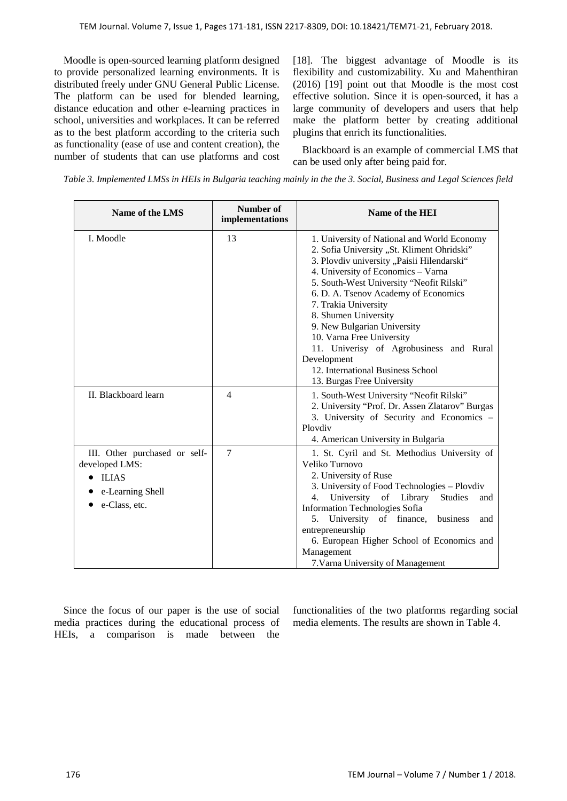Moodle is open-sourced learning platform designed to provide personalized learning environments. It is distributed freely under GNU General Public License. The platform can be used for blended learning, distance education and other e-learning practices in school, universities and workplaces. It can be referred as to the best platform according to the criteria such as functionality (ease of use and content creation), the number of students that can use platforms and cost [18]. The biggest advantage of Moodle is its flexibility and customizability. Xu and Mahenthiran (2016) [19] point out that Moodle is the most cost effective solution. Since it is open-sourced, it has a large community of developers and users that help make the platform better by creating additional plugins that enrich its functionalities.

Blackboard is an example of commercial LMS that can be used only after being paid for.

*Table 3. Implemented LMSs in HEIs in Bulgaria teaching mainly in the the 3. Social, Business and Legal Sciences field*

| Name of the LMS                                                                                         | <b>Number of</b><br>implementations | Name of the HEI                                                                                                                                                                                                                                                                                                                                                                                                                                                                                            |  |  |
|---------------------------------------------------------------------------------------------------------|-------------------------------------|------------------------------------------------------------------------------------------------------------------------------------------------------------------------------------------------------------------------------------------------------------------------------------------------------------------------------------------------------------------------------------------------------------------------------------------------------------------------------------------------------------|--|--|
| I. Moodle                                                                                               | 13                                  | 1. University of National and World Economy<br>2. Sofia University "St. Kliment Ohridski"<br>3. Plovdiv university "Paisii Hilendarski"<br>4. University of Economics - Varna<br>5. South-West University "Neofit Rilski"<br>6. D. A. Tsenov Academy of Economics<br>7. Trakia University<br>8. Shumen University<br>9. New Bulgarian University<br>10. Varna Free University<br>11. Univerisy of Agrobusiness and Rural<br>Development<br>12. International Business School<br>13. Burgas Free University |  |  |
| II. Blackboard learn                                                                                    | 4                                   | 1. South-West University "Neofit Rilski"<br>2. University "Prof. Dr. Assen Zlatarov" Burgas<br>3. University of Security and Economics -<br>Plovdiv<br>4. American University in Bulgaria                                                                                                                                                                                                                                                                                                                  |  |  |
| III. Other purchased or self-<br>developed LMS:<br>$\bullet$ ILIAS<br>e-Learning Shell<br>e-Class, etc. | $\overline{7}$                      | 1. St. Cyril and St. Methodius University of<br>Veliko Turnovo<br>2. University of Ruse<br>3. University of Food Technologies - Plovdiv<br>University of Library<br><b>Studies</b><br>4.<br>and<br><b>Information Technologies Sofia</b><br>University of finance,<br>business<br>5.<br>and<br>entrepreneurship<br>6. European Higher School of Economics and<br>Management<br>7. Varna University of Management                                                                                           |  |  |

Since the focus of our paper is the use of social media practices during the educational process of HEIs, a comparison is made between the

functionalities of the two platforms regarding social media elements. The results are shown in Table 4.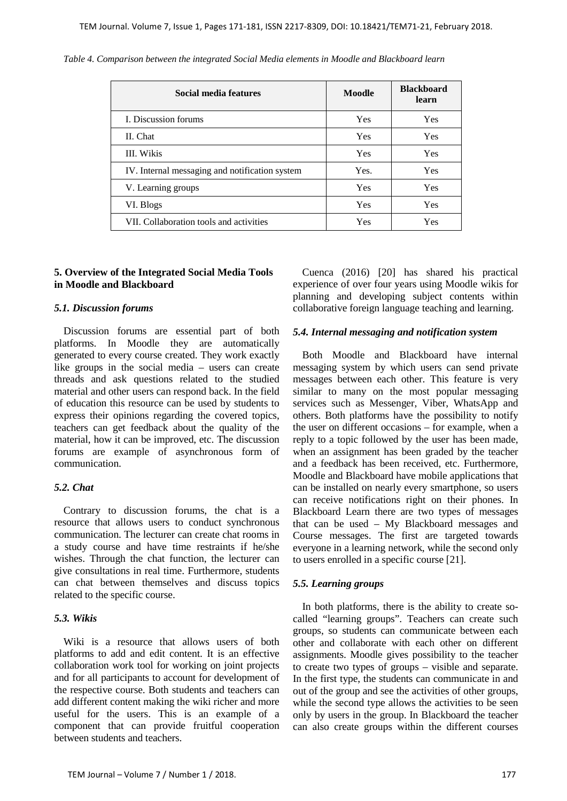| Social media features                          | Moodle     | <b>Blackboard</b><br>learn |
|------------------------------------------------|------------|----------------------------|
| I. Discussion forums                           | <b>Yes</b> | Yes                        |
| II. Chat                                       | <b>Yes</b> | Yes                        |
| <b>III.</b> Wikis                              | <b>Yes</b> | <b>Yes</b>                 |
| IV. Internal messaging and notification system | Yes.       | <b>Yes</b>                 |
| V. Learning groups                             | <b>Yes</b> | <b>Yes</b>                 |
| VI. Blogs                                      | Yes        | <b>Yes</b>                 |
| VII. Collaboration tools and activities        | Yes        | <b>Yes</b>                 |

*Table 4. Comparison between the integrated Social Media elements in Moodle and Blackboard learn*

#### **5. Overview of the Integrated Social Media Tools in Moodle and Blackboard**

#### *5.1. Discussion forums*

Discussion forums are essential part of both platforms. In Moodle they are automatically generated to every course created. They work exactly like groups in the social media – users can create threads and ask questions related to the studied material and other users can respond back. In the field of education this resource can be used by students to express their opinions regarding the covered topics, teachers can get feedback about the quality of the material, how it can be improved, etc. The discussion forums are example of asynchronous form of communication.

## *5.2. Chat*

Contrary to discussion forums, the chat is a resource that allows users to conduct synchronous communication. The lecturer can create chat rooms in a study course and have time restraints if he/she wishes. Through the chat function, the lecturer can give consultations in real time. Furthermore, students can chat between themselves and discuss topics related to the specific course.

#### *5.3. Wikis*

Wiki is a resource that allows users of both platforms to add and edit content. It is an effective collaboration work tool for working on joint projects and for all participants to account for development of the respective course. Both students and teachers can add different content making the wiki richer and more useful for the users. This is an example of a component that can provide fruitful cooperation between students and teachers.

Cuenca (2016) [20] has shared his practical experience of over four years using Moodle wikis for planning and developing subject contents within collaborative foreign language teaching and learning.

#### *5.4. Internal messaging and notification system*

Both Moodle and Blackboard have internal messaging system by which users can send private messages between each other. This feature is very similar to many on the most popular messaging services such as Messenger, Viber, WhatsApp and others. Both platforms have the possibility to notify the user on different occasions – for example, when a reply to a topic followed by the user has been made, when an assignment has been graded by the teacher and a feedback has been received, etc. Furthermore, Moodle and Blackboard have mobile applications that can be installed on nearly every smartphone, so users can receive notifications right on their phones. In Blackboard Learn there are two types of messages that can be used – My Blackboard messages and Course messages. The first are targeted towards everyone in a learning network, while the second only to users enrolled in a specific course [21].

#### *5.5. Learning groups*

In both platforms, there is the ability to create socalled "learning groups". Teachers can create such groups, so students can communicate between each other and collaborate with each other on different assignments. Moodle gives possibility to the teacher to create two types of groups – visible and separate. In the first type, the students can communicate in and out of the group and see the activities of other groups, while the second type allows the activities to be seen only by users in the group. In Blackboard the teacher can also create groups within the different courses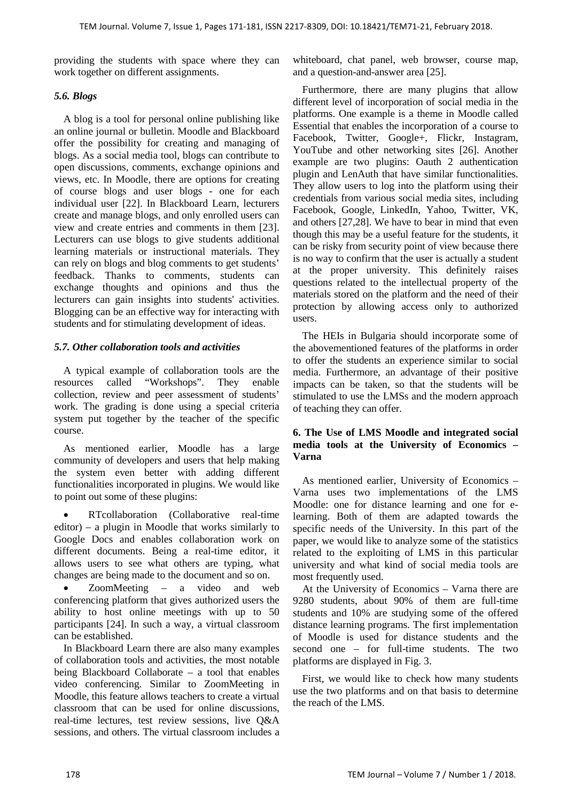providing the students with space where they can work together on different assignments.

# *5.6. Blogs*

A blog is a tool for personal online publishing like an online journal or bulletin. Moodle and Blackboard offer the possibility for creating and managing of blogs. As a social media tool, blogs can contribute to open discussions, comments, exchange opinions and views, etc. In Moodle, there are options for creating of course blogs and user blogs - one for each individual user [22]. In Blackboard Learn, lecturers create and manage blogs, and only enrolled users can view and create entries and comments in them [23]. Lecturers can use blogs to give students additional learning materials or instructional materials. They can rely on blogs and blog comments to get students' feedback. Thanks to comments, students can exchange thoughts and opinions and thus the lecturers can gain insights into students' activities. Blogging can be an effective way for interacting with students and for stimulating development of ideas.

# *5.7. Other collaboration tools and activities*

A typical example of collaboration tools are the resources called "Workshops". They enable collection, review and peer assessment of students' work. The grading is done using a special criteria system put together by the teacher of the specific course.

As mentioned earlier, Moodle has a large community of developers and users that help making the system even better with adding different functionalities incorporated in plugins. We would like to point out some of these plugins:

• RTcollaboration (Collaborative real-time editor) – a plugin in Moodle that works similarly to Google Docs and enables collaboration work on different documents. Being a real-time editor, it allows users to see what others are typing, what changes are being made to the document and so on.

ZoomMeeting – a video and web conferencing platform that gives authorized users the ability to host online meetings with up to 50 participants [24]. In such a way, a virtual classroom can be established.

In Blackboard Learn there are also many examples of collaboration tools and activities, the most notable being Blackboard Collaborate – a tool that enables video conferencing. Similar to ZoomMeeting in Moodle, this feature allows teachers to create a virtual classroom that can be used for online discussions, real-time lectures, test review sessions, live Q&A sessions, and others. The virtual classroom includes a

whiteboard, chat panel, web browser, course map, and a question-and-answer area [25].

Furthermore, there are many plugins that allow different level of incorporation of social media in the platforms. One example is a theme in Moodle called Essential that enables the incorporation of a course to Facebook, Twitter, Google+, Flickr, Instagram, YouTube and other networking sites [26]. Another example are two plugins: Oauth 2 authentication plugin and LenAuth that have similar functionalities. They allow users to log into the platform using their credentials from various social media sites, including Facebook, Google, LinkedIn, Yahoo, Twitter, VK, and others [27,28]. We have to bear in mind that even though this may be a useful feature for the students, it can be risky from security point of view because there is no way to confirm that the user is actually a student at the proper university. This definitely raises questions related to the intellectual property of the materials stored on the platform and the need of their protection by allowing access only to authorized users.

The HEIs in Bulgaria should incorporate some of the abovementioned features of the platforms in order to offer the students an experience similar to social media. Furthermore, an advantage of their positive impacts can be taken, so that the students will be stimulated to use the LMSs and the modern approach of teaching they can offer.

# **6. The Use of LMS Moodle and integrated social media tools at the University of Economics – Varna**

As mentioned earlier, University of Economics – Varna uses two implementations of the LMS Moodle: one for distance learning and one for elearning. Both of them are adapted towards the specific needs of the University. In this part of the paper, we would like to analyze some of the statistics related to the exploiting of LMS in this particular university and what kind of social media tools are most frequently used.

At the University of Economics – Varna there are 9280 students, about 90% of them are full-time students and 10% are studying some of the offered distance learning programs. The first implementation of Moodle is used for distance students and the second one – for full-time students. The two platforms are displayed in Fig. 3.

First, we would like to check how many students use the two platforms and on that basis to determine the reach of the LMS.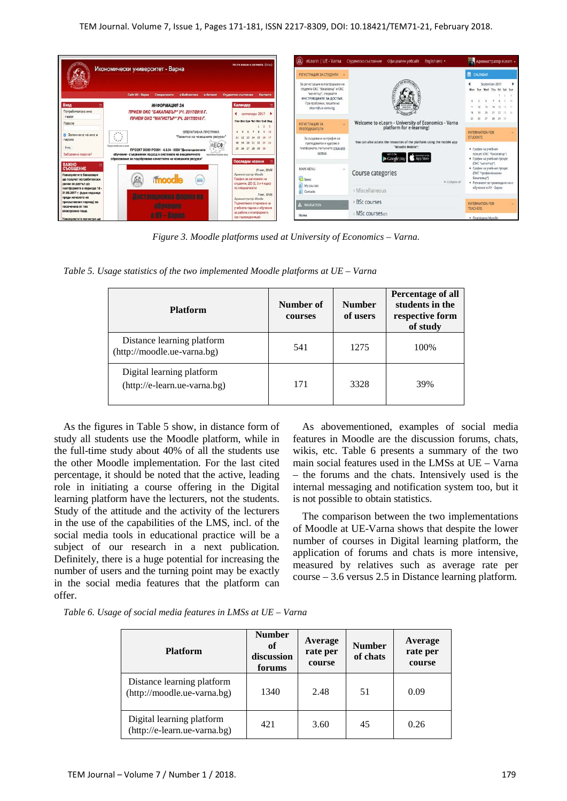

*Figure 3. Moodle platforms used at University of Economics – Varna.*

*Table 5. Usage statistics of the two implemented Moodle platforms at UE – Varna*

| <b>Platform</b>                                           | Number of<br>courses | <b>Number</b><br>of users | Percentage of all<br>students in the<br>respective form<br>of study |  |
|-----------------------------------------------------------|----------------------|---------------------------|---------------------------------------------------------------------|--|
| Distance learning platform<br>(http://moodle.ue-varna.bg) | 541                  | 1275                      | 100%                                                                |  |
| Digital learning platform<br>(http://e-learn.ue-varna.bg) | 171                  | 3328                      | 39%                                                                 |  |

As the figures in Table 5 show, in distance form of study all students use the Moodle platform, while in the full-time study about 40% of all the students use the other Moodle implementation. For the last cited percentage, it should be noted that the active, leading role in initiating a course offering in the Digital learning platform have the lecturers, not the students. Study of the attitude and the activity of the lecturers in the use of the capabilities of the LMS, incl. of the social media tools in educational practice will be a subject of our research in a next publication. Definitely, there is a huge potential for increasing the number of users and the turning point may be exactly in the social media features that the platform can offer.

As abovementioned, examples of social media features in Moodle are the discussion forums, chats, wikis, etc. Table 6 presents a summary of the two main social features used in the LMSs at UE – Varna – the forums and the chats. Intensively used is the internal messaging and notification system too, but it is not possible to obtain statistics.

The comparison between the two implementations of Moodle at UE-Varna shows that despite the lower number of courses in Digital learning platform, the application of forums and chats is more intensive, measured by relatives such as average rate per course – 3.6 versus 2.5 in Distance learning platform.

|  |  |  | Table 6. Usage of social media features in LMSs at UE - Varna |  |  |  |  |
|--|--|--|---------------------------------------------------------------|--|--|--|--|
|--|--|--|---------------------------------------------------------------|--|--|--|--|

| <b>Platform</b>                                           | <b>Number</b><br>of<br>discussion<br>forums | Average<br>rate per<br>course | <b>Number</b><br>of chats | Average<br>rate per<br>course |  |
|-----------------------------------------------------------|---------------------------------------------|-------------------------------|---------------------------|-------------------------------|--|
| Distance learning platform<br>(http://moodle.ue-varna.bg) | 1340                                        | 2.48                          | 51                        | 0.09                          |  |
| Digital learning platform<br>(http://e-learn.ue-varna.bg) | 421                                         | 3.60                          | 45                        | 0.26                          |  |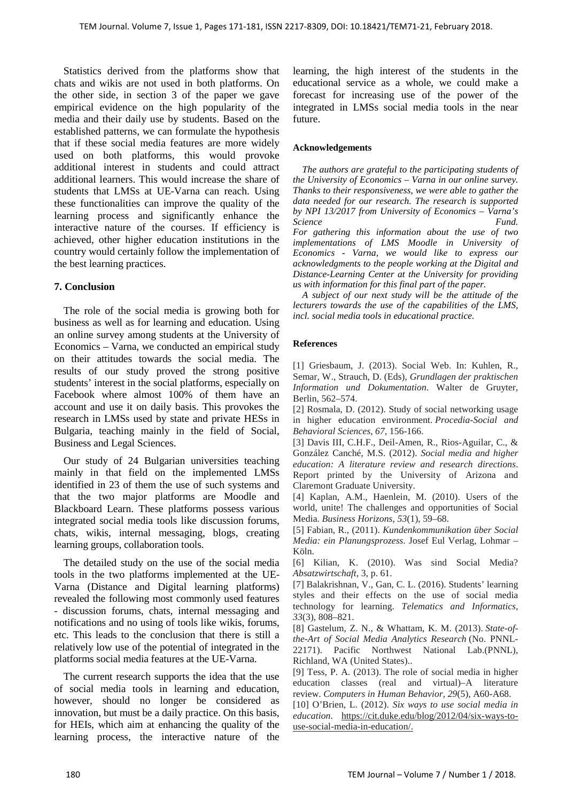Statistics derived from the platforms show that chats and wikis are not used in both platforms. On the other side, in section 3 of the paper we gave empirical evidence on the high popularity of the media and their daily use by students. Based on the established patterns, we can formulate the hypothesis that if these social media features are more widely used on both platforms, this would provoke additional interest in students and could attract additional learners. This would increase the share of students that LMSs at UE-Varna can reach. Using these functionalities can improve the quality of the learning process and significantly enhance the interactive nature of the courses. If efficiency is achieved, other higher education institutions in the country would certainly follow the implementation of the best learning practices.

# **7. Conclusion**

The role of the social media is growing both for business as well as for learning and education. Using an online survey among students at the University of Economics – Varna, we conducted an empirical study on their attitudes towards the social media. The results of our study proved the strong positive students' interest in the social platforms, especially on Facebook where almost 100% of them have an account and use it on daily basis. This provokes the research in LMSs used by state and private HESs in Bulgaria, teaching mainly in the field of Social, Business and Legal Sciences.

Our study of 24 Bulgarian universities teaching mainly in that field on the implemented LMSs identified in 23 of them the use of such systems and that the two major platforms are Moodle and Blackboard Learn. These platforms possess various integrated social media tools like discussion forums, chats, wikis, internal messaging, blogs, creating learning groups, collaboration tools.

The detailed study on the use of the social media tools in the two platforms implemented at the UE-Varna (Distance and Digital learning platforms) revealed the following most commonly used features - discussion forums, chats, internal messaging and notifications and no using of tools like wikis, forums, etc. This leads to the conclusion that there is still a relatively low use of the potential of integrated in the platforms social media features at the UE-Varna.

The current research supports the idea that the use of social media tools in learning and education, however, should no longer be considered as innovation, but must be a daily practice. On this basis, for HEIs, which aim at enhancing the quality of the learning process, the interactive nature of the learning, the high interest of the students in the educational service as a whole, we could make a forecast for increasing use of the power of the integrated in LMSs social media tools in the near future.

### **Acknowledgements**

*The authors are grateful to the participating students of the University of Economics – Varna in our online survey. Thanks to their responsiveness, we were able to gather the data needed for our research. The research is supported by NPI 13/2017 from University of Economics – Varna's Science Fund. For gathering this information about the use of two implementations of LMS Moodle in University of Economics - Varna, we would like to express our acknowledgments to the people working at the Digital and Distance-Learning Center at the University for providing us with information for this final part of the paper.*

*A subject of our next study will be the attitude of the lecturers towards the use of the capabilities of the LMS, incl. social media tools in educational practice.*

## **References**

[1] Griesbaum, J. (2013). Social Web. In: Kuhlen, R., Semar, W., Strauch, D. (Eds), *Grundlagen der praktischen Information und Dokumentation*. Walter de Gruyter, Berlin, 562–574.

[2] Rosmala, D. (2012). Study of social networking usage in higher education environment. *Procedia-Social and Behavioral Sciences*, *67*, 156-166.

[3] Davis III, C.H.F., Deil-Amen, R., Rios-Aguilar, C., & González Canché, M.S. (2012). *Social media and higher education: A literature review and research directions*. Report printed by the University of Arizona and Claremont Graduate University.

[4] Kaplan, A.M., Haenlein, M. (2010). Users of the world, unite! The challenges and opportunities of Social Media. *Business Horizons*, *53*(1), 59–68.

[5] Fabian, R., (2011). *Kundenkommunikation über Social Media: ein Planungsprozess*. Josef Eul Verlag, Lohmar – Köln.

[6] Kilian, K. (2010). Was sind Social Media? *Absatzwirtschaft*, 3, p. 61.

[7] Balakrishnan, V., Gan, C. L. (2016). Students' learning styles and their effects on the use of social media technology for learning. *Telematics and Informatics*, *33*(3), 808–821.

[8] Gastelum, Z. N., & Whattam, K. M. (2013). *State-ofthe-Art of Social Media Analytics Research* (No. PNNL-22171). Pacific Northwest National Lab.(PNNL), Richland, WA (United States)..

[9] Tess, P. A. (2013). The role of social media in higher education classes (real and virtual)–A literature review. *Computers in Human Behavior*, *29*(5), A60-A68.

[10] O'Brien, L. (2012). *Six ways to use social media in education*. https://cit.duke.edu/blog/2012/04/six-ways-touse-social-media-in-education/.